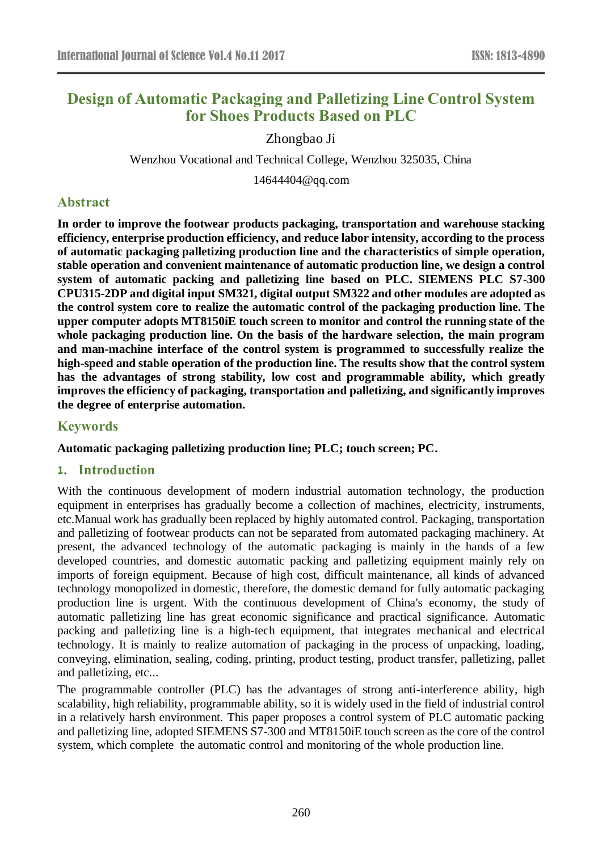# **Design of Automatic Packaging and Palletizing Line Control System for Shoes Products Based on PLC**

Zhongbao Ji

Wenzhou Vocational and Technical College, Wenzhou 325035, China

14644404@qq.com

# **Abstract**

**In order to improve the footwear products packaging, transportation and warehouse stacking efficiency, enterprise production efficiency, and reduce labor intensity, according to the process of automatic packaging palletizing production line and the characteristics of simple operation, stable operation and convenient maintenance of automatic production line, we design a control system of automatic packing and palletizing line based on PLC. SIEMENS PLC S7-300 CPU315-2DP and digital input SM321, digital output SM322 and other modules are adopted as the control system core to realize the automatic control of the packaging production line. The upper computer adopts MT8150iE touch screen to monitor and control the running state of the whole packaging production line. On the basis of the hardware selection, the main program and man-machine interface of the control system is programmed to successfully realize the high-speed and stable operation of the production line. The results show that the control system has the advantages of strong stability, low cost and programmable ability, which greatly improves the efficiency of packaging, transportation and palletizing, and significantly improves the degree of enterprise automation.**

#### **Keywords**

#### **Automatic packaging palletizing production line; PLC; touch screen; PC.**

### **1. Introduction**

With the continuous development of modern industrial automation technology, the production equipment in enterprises has gradually become a collection of machines, electricity, instruments, etc.Manual work has gradually been replaced by highly automated control. Packaging, transportation and palletizing of footwear products can not be separated from automated packaging machinery. At present, the advanced technology of the automatic packaging is mainly in the hands of a few developed countries, and domestic automatic packing and palletizing equipment mainly rely on imports of foreign equipment. Because of high cost, difficult maintenance, all kinds of advanced technology monopolized in domestic, therefore, the domestic demand for fully automatic packaging production line is urgent. With the continuous development of China's economy, the study of automatic palletizing line has great economic significance and practical significance. Automatic packing and palletizing line is a high-tech equipment, that integrates mechanical and electrical technology. It is mainly to realize automation of packaging in the process of unpacking, loading, conveying, elimination, sealing, coding, printing, product testing, product transfer, palletizing, pallet and palletizing, etc...

The programmable controller (PLC) has the advantages of strong anti-interference ability, high scalability, high reliability, programmable ability, so it is widely used in the field of industrial control in a relatively harsh environment. This paper proposes a control system of PLC automatic packing and palletizing line, adopted SIEMENS S7-300 and MT8150iE touch screen as the core of the control system, which complete the automatic control and monitoring of the whole production line.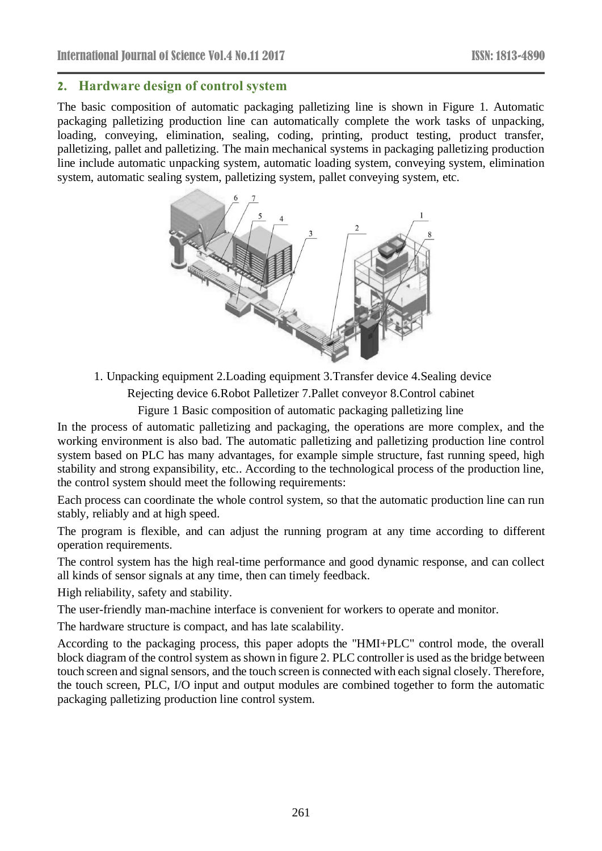# **2. Hardware design of control system**

The basic composition of automatic packaging palletizing line is shown in Figure 1. Automatic packaging palletizing production line can automatically complete the work tasks of unpacking, loading, conveying, elimination, sealing, coding, printing, product testing, product transfer, palletizing, pallet and palletizing. The main mechanical systems in packaging palletizing production line include automatic unpacking system, automatic loading system, conveying system, elimination system, automatic sealing system, palletizing system, pallet conveying system, etc.



1. Unpacking equipment 2.Loading equipment 3.Transfer device 4.Sealing device Rejecting device 6.Robot Palletizer 7.Pallet conveyor 8.Control cabinet

Figure 1 Basic composition of automatic packaging palletizing line

In the process of automatic palletizing and packaging, the operations are more complex, and the working environment is also bad. The automatic palletizing and palletizing production line control system based on PLC has many advantages, for example simple structure, fast running speed, high stability and strong expansibility, etc.. According to the technological process of the production line, the control system should meet the following requirements:

Each process can coordinate the whole control system, so that the automatic production line can run stably, reliably and at high speed.

The program is flexible, and can adjust the running program at any time according to different operation requirements.

The control system has the high real-time performance and good dynamic response, and can collect all kinds of sensor signals at any time, then can timely feedback.

High reliability, safety and stability.

The user-friendly man-machine interface is convenient for workers to operate and monitor.

The hardware structure is compact, and has late scalability.

According to the packaging process, this paper adopts the "HMI+PLC" control mode, the overall block diagram of the control system as shown in figure 2. PLC controller is used as the bridge between touch screen and signal sensors, and the touch screen is connected with each signal closely. Therefore, the touch screen, PLC, I/O input and output modules are combined together to form the automatic packaging palletizing production line control system.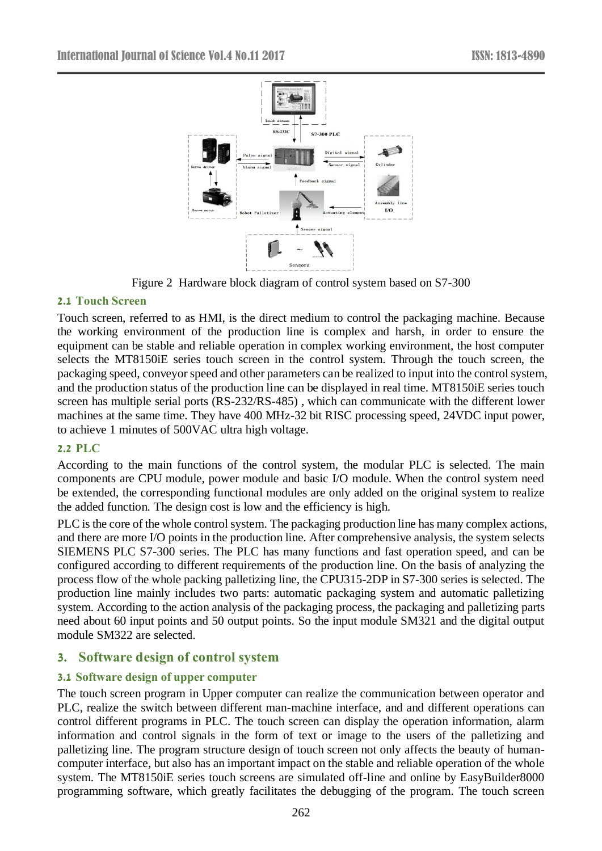

Figure 2 Hardware block diagram of control system based on S7-300

# **2.1 Touch Screen**

Touch screen, referred to as HMI, is the direct medium to control the packaging machine. Because the working environment of the production line is complex and harsh, in order to ensure the equipment can be stable and reliable operation in complex working environment, the host computer selects the MT8150iE series touch screen in the control system. Through the touch screen, the packaging speed, conveyor speed and other parameters can be realized to input into the control system, and the production status of the production line can be displayed in real time. MT8150iE series touch screen has multiple serial ports (RS-232/RS-485) , which can communicate with the different lower machines at the same time. They have 400 MHz-32 bit RISC processing speed, 24VDC input power, to achieve 1 minutes of 500VAC ultra high voltage.

### **2.2 PLC**

According to the main functions of the control system, the modular PLC is selected. The main components are CPU module, power module and basic I/O module. When the control system need be extended, the corresponding functional modules are only added on the original system to realize the added function. The design cost is low and the efficiency is high.

PLC is the core of the whole control system. The packaging production line has many complex actions, and there are more I/O points in the production line. After comprehensive analysis, the system selects SIEMENS PLC S7-300 series. The PLC has many functions and fast operation speed, and can be configured according to different requirements of the production line. On the basis of analyzing the process flow of the whole packing palletizing line, the CPU315-2DP in S7-300 series is selected. The production line mainly includes two parts: automatic packaging system and automatic palletizing system. According to the action analysis of the packaging process, the packaging and palletizing parts need about 60 input points and 50 output points. So the input module SM321 and the digital output module SM322 are selected.

# **3. Software design of control system**

# **3.1 Software design of upper computer**

The touch screen program in Upper computer can realize the communication between operator and PLC, realize the switch between different man-machine interface, and and different operations can control different programs in PLC. The touch screen can display the operation information, alarm information and control signals in the form of text or image to the users of the palletizing and palletizing line. The program structure design of touch screen not only affects the beauty of humancomputer interface, but also has an important impact on the stable and reliable operation of the whole system. The MT8150iE series touch screens are simulated off-line and online by EasyBuilder8000 programming software, which greatly facilitates the debugging of the program. The touch screen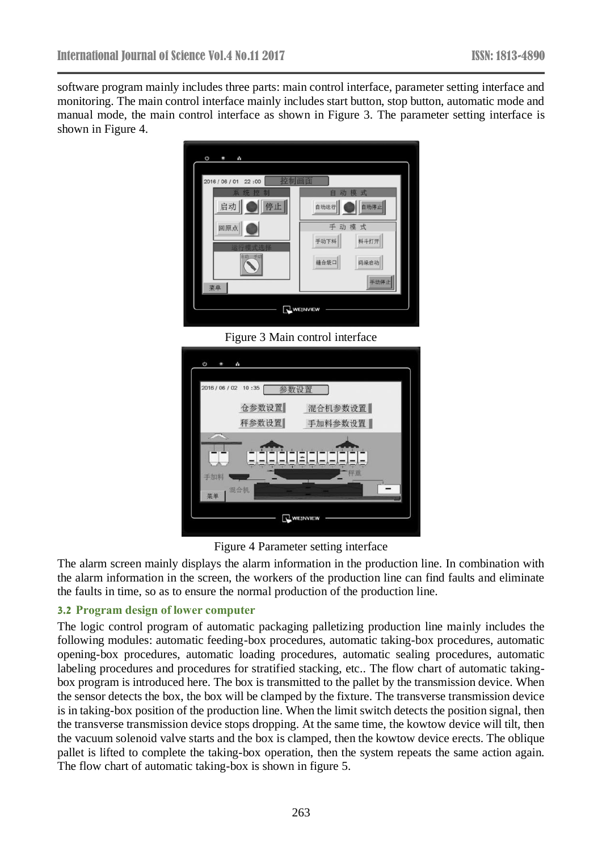software program mainly includes three parts: main control interface, parameter setting interface and monitoring. The main control interface mainly includes start button, stop button, automatic mode and manual mode, the main control interface as shown in Figure 3. The parameter setting interface is shown in Figure 4.



Figure 3 Main control interface

|     | 2016 / 06 / 02 10:35 | 箇       |  |
|-----|----------------------|---------|--|
|     | 仓参数设置                | 混合机参数设置 |  |
|     | 秤参数设置                | 手加料参数设置 |  |
|     |                      |         |  |
|     |                      |         |  |
| 手加料 |                      |         |  |
| 菜单  | 混合机                  |         |  |

Figure 4 Parameter setting interface

The alarm screen mainly displays the alarm information in the production line. In combination with the alarm information in the screen, the workers of the production line can find faults and eliminate the faults in time, so as to ensure the normal production of the production line.

#### **3.2 Program design of lower computer**

The logic control program of automatic packaging palletizing production line mainly includes the following modules: automatic feeding-box procedures, automatic taking-box procedures, automatic opening-box procedures, automatic loading procedures, automatic sealing procedures, automatic labeling procedures and procedures for stratified stacking, etc.. The flow chart of automatic takingbox program is introduced here. The box is transmitted to the pallet by the transmission device. When the sensor detects the box, the box will be clamped by the fixture. The transverse transmission device is in taking-box position of the production line. When the limit switch detects the position signal, then the transverse transmission device stops dropping. At the same time, the kowtow device will tilt, then the vacuum solenoid valve starts and the box is clamped, then the kowtow device erects. The oblique pallet is lifted to complete the taking-box operation, then the system repeats the same action again. The flow chart of automatic taking-box is shown in figure 5.